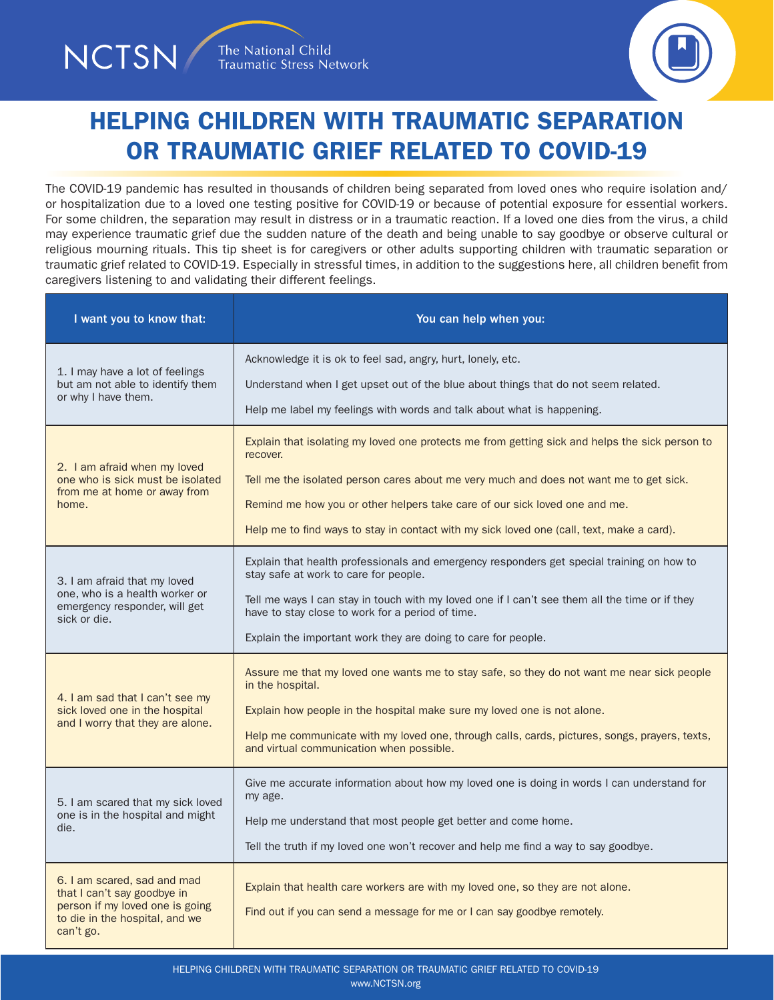NCTSN



## HELPING CHILDREN WITH TRAUMATIC SEPARATION OR TRAUMATIC GRIEF RELATED TO COVID-19

The COVID-19 pandemic has resulted in thousands of children being separated from loved ones who require isolation and/ or hospitalization due to a loved one testing positive for COVID-19 or because of potential exposure for essential workers. For some children, the separation may result in distress or in a traumatic reaction. If a loved one dies from the virus, a child may experience traumatic grief due the sudden nature of the death and being unable to say goodbye or observe cultural or religious mourning rituals. This tip sheet is for caregivers or other adults supporting children with traumatic separation or traumatic grief related to COVID-19. Especially in stressful times, in addition to the suggestions here, all children benefit from caregivers listening to and validating their different feelings.

| I want you to know that:                                                                                                                     | You can help when you:                                                                                                                                       |
|----------------------------------------------------------------------------------------------------------------------------------------------|--------------------------------------------------------------------------------------------------------------------------------------------------------------|
| 1. I may have a lot of feelings<br>but am not able to identify them<br>or why I have them.                                                   | Acknowledge it is ok to feel sad, angry, hurt, lonely, etc.                                                                                                  |
|                                                                                                                                              | Understand when I get upset out of the blue about things that do not seem related.<br>Help me label my feelings with words and talk about what is happening. |
| 2. I am afraid when my loved<br>one who is sick must be isolated<br>from me at home or away from<br>home.                                    | Explain that isolating my loved one protects me from getting sick and helps the sick person to<br>recover.                                                   |
|                                                                                                                                              | Tell me the isolated person cares about me very much and does not want me to get sick.                                                                       |
|                                                                                                                                              | Remind me how you or other helpers take care of our sick loved one and me.                                                                                   |
|                                                                                                                                              | Help me to find ways to stay in contact with my sick loved one (call, text, make a card).                                                                    |
| 3. I am afraid that my loved<br>one, who is a health worker or<br>emergency responder, will get<br>sick or die.                              | Explain that health professionals and emergency responders get special training on how to<br>stay safe at work to care for people.                           |
|                                                                                                                                              | Tell me ways I can stay in touch with my loved one if I can't see them all the time or if they<br>have to stay close to work for a period of time.           |
|                                                                                                                                              | Explain the important work they are doing to care for people.                                                                                                |
| 4. I am sad that I can't see my<br>sick loved one in the hospital<br>and I worry that they are alone.                                        | Assure me that my loved one wants me to stay safe, so they do not want me near sick people<br>in the hospital.                                               |
|                                                                                                                                              | Explain how people in the hospital make sure my loved one is not alone.                                                                                      |
|                                                                                                                                              | Help me communicate with my loved one, through calls, cards, pictures, songs, prayers, texts,<br>and virtual communication when possible.                    |
| 5. I am scared that my sick loved<br>one is in the hospital and might<br>die.                                                                | Give me accurate information about how my loved one is doing in words I can understand for<br>my age.                                                        |
|                                                                                                                                              | Help me understand that most people get better and come home.                                                                                                |
|                                                                                                                                              | Tell the truth if my loved one won't recover and help me find a way to say goodbye.                                                                          |
| 6. I am scared, sad and mad<br>that I can't say goodbye in<br>person if my loved one is going<br>to die in the hospital, and we<br>can't go. | Explain that health care workers are with my loved one, so they are not alone.<br>Find out if you can send a message for me or I can say goodbye remotely.   |